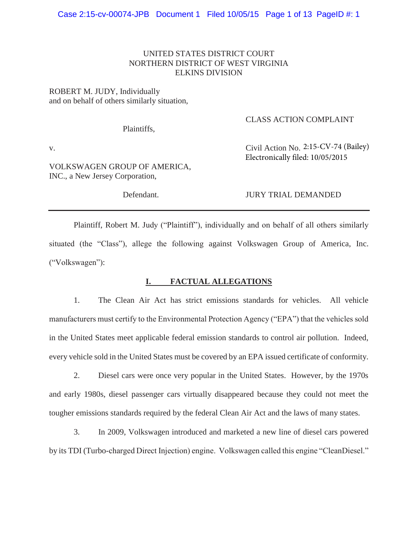# UNITED STATES DISTRICT COURT NORTHERN DISTRICT OF WEST VIRGINIA ELKINS DIVISION

# ROBERT M. JUDY, Individually and on behalf of others similarly situation,

Plaintiffs,

## CLASS ACTION COMPLAINT

v. Civil Action No. 2:15-CV-74 (Bailey)

VOLKSWAGEN GROUP OF AMERICA, INC., a New Jersey Corporation,

Defendant. JURY TRIAL DEMANDED

Electronically filed: 10/05/2015

 Plaintiff, Robert M. Judy ("Plaintiff"), individually and on behalf of all others similarly situated (the "Class"), allege the following against Volkswagen Group of America, Inc. ("Volkswagen"):

# **I. FACTUAL ALLEGATIONS**

1. The Clean Air Act has strict emissions standards for vehicles. All vehicle manufacturers must certify to the Environmental Protection Agency ("EPA") that the vehicles sold in the United States meet applicable federal emission standards to control air pollution. Indeed, every vehicle sold in the United States must be covered by an EPA issued certificate of conformity.

2. Diesel cars were once very popular in the United States. However, by the 1970s and early 1980s, diesel passenger cars virtually disappeared because they could not meet the tougher emissions standards required by the federal Clean Air Act and the laws of many states.

3. In 2009, Volkswagen introduced and marketed a new line of diesel cars powered by its TDI (Turbo-charged Direct Injection) engine. Volkswagen called this engine "CleanDiesel."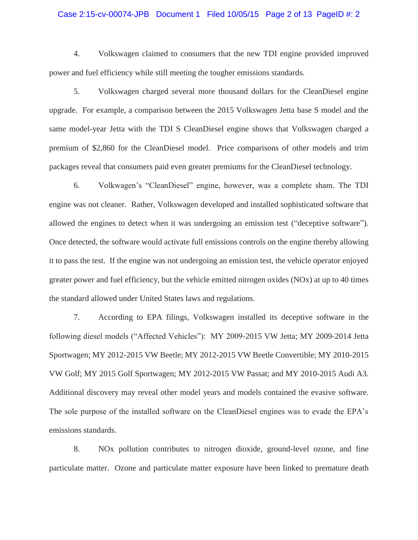### Case 2:15-cv-00074-JPB Document 1 Filed 10/05/15 Page 2 of 13 PageID #: 2

4. Volkswagen claimed to consumers that the new TDI engine provided improved power and fuel efficiency while still meeting the tougher emissions standards.

5. Volkswagen charged several more thousand dollars for the CleanDiesel engine upgrade. For example, a comparison between the 2015 Volkswagen Jetta base S model and the same model-year Jetta with the TDI S CleanDiesel engine shows that Volkswagen charged a premium of \$2,860 for the CleanDiesel model. Price comparisons of other models and trim packages reveal that consumers paid even greater premiums for the CleanDiesel technology.

6. Volkwagen's "CleanDiesel" engine, however, was a complete sham. The TDI engine was not cleaner. Rather, Volkswagen developed and installed sophisticated software that allowed the engines to detect when it was undergoing an emission test ("deceptive software"). Once detected, the software would activate full emissions controls on the engine thereby allowing it to pass the test. If the engine was not undergoing an emission test, the vehicle operator enjoyed greater power and fuel efficiency, but the vehicle emitted nitrogen oxides (NOx) at up to 40 times the standard allowed under United States laws and regulations.

7. According to EPA filings, Volkswagen installed its deceptive software in the following diesel models ("Affected Vehicles"): MY 2009-2015 VW Jetta; MY 2009-2014 Jetta Sportwagen; MY 2012-2015 VW Beetle; MY 2012-2015 VW Beetle Convertible; MY 2010-2015 VW Golf; MY 2015 Golf Sportwagen; MY 2012-2015 VW Passat; and MY 2010-2015 Audi A3. Additional discovery may reveal other model years and models contained the evasive software. The sole purpose of the installed software on the CleanDiesel engines was to evade the EPA's emissions standards.

8. NOx pollution contributes to nitrogen dioxide, ground-level ozone, and fine particulate matter. Ozone and particulate matter exposure have been linked to premature death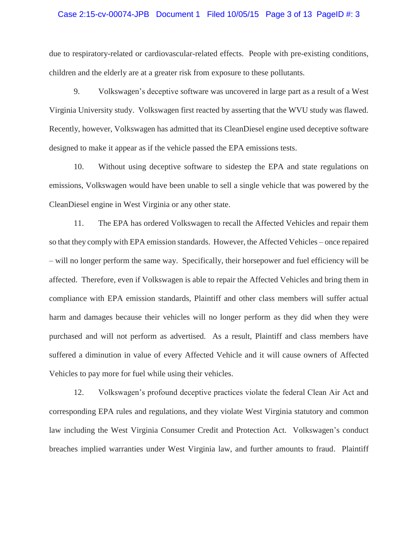### Case 2:15-cv-00074-JPB Document 1 Filed 10/05/15 Page 3 of 13 PageID #: 3

due to respiratory-related or cardiovascular-related effects. People with pre-existing conditions, children and the elderly are at a greater risk from exposure to these pollutants.

 9. Volkswagen's deceptive software was uncovered in large part as a result of a West Virginia University study. Volkswagen first reacted by asserting that the WVU study was flawed. Recently, however, Volkswagen has admitted that its CleanDiesel engine used deceptive software designed to make it appear as if the vehicle passed the EPA emissions tests.

 10. Without using deceptive software to sidestep the EPA and state regulations on emissions, Volkswagen would have been unable to sell a single vehicle that was powered by the CleanDiesel engine in West Virginia or any other state.

 11. The EPA has ordered Volkswagen to recall the Affected Vehicles and repair them so that they comply with EPA emission standards. However, the Affected Vehicles – once repaired – will no longer perform the same way. Specifically, their horsepower and fuel efficiency will be affected. Therefore, even if Volkswagen is able to repair the Affected Vehicles and bring them in compliance with EPA emission standards, Plaintiff and other class members will suffer actual harm and damages because their vehicles will no longer perform as they did when they were purchased and will not perform as advertised. As a result, Plaintiff and class members have suffered a diminution in value of every Affected Vehicle and it will cause owners of Affected Vehicles to pay more for fuel while using their vehicles.

 12. Volkswagen's profound deceptive practices violate the federal Clean Air Act and corresponding EPA rules and regulations, and they violate West Virginia statutory and common law including the West Virginia Consumer Credit and Protection Act. Volkswagen's conduct breaches implied warranties under West Virginia law, and further amounts to fraud. Plaintiff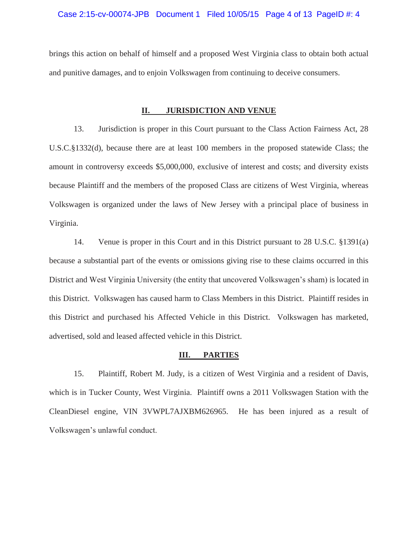### Case 2:15-cv-00074-JPB Document 1 Filed 10/05/15 Page 4 of 13 PageID #: 4

brings this action on behalf of himself and a proposed West Virginia class to obtain both actual and punitive damages, and to enjoin Volkswagen from continuing to deceive consumers.

## **II. JURISDICTION AND VENUE**

13. Jurisdiction is proper in this Court pursuant to the Class Action Fairness Act, 28 U.S.C.§1332(d), because there are at least 100 members in the proposed statewide Class; the amount in controversy exceeds \$5,000,000, exclusive of interest and costs; and diversity exists because Plaintiff and the members of the proposed Class are citizens of West Virginia, whereas Volkswagen is organized under the laws of New Jersey with a principal place of business in Virginia.

14. Venue is proper in this Court and in this District pursuant to 28 U.S.C. §1391(a) because a substantial part of the events or omissions giving rise to these claims occurred in this District and West Virginia University (the entity that uncovered Volkswagen's sham) is located in this District. Volkswagen has caused harm to Class Members in this District. Plaintiff resides in this District and purchased his Affected Vehicle in this District. Volkswagen has marketed, advertised, sold and leased affected vehicle in this District.

#### **III. PARTIES**

15. Plaintiff, Robert M. Judy, is a citizen of West Virginia and a resident of Davis, which is in Tucker County, West Virginia. Plaintiff owns a 2011 Volkswagen Station with the CleanDiesel engine, VIN 3VWPL7AJXBM626965. He has been injured as a result of Volkswagen's unlawful conduct.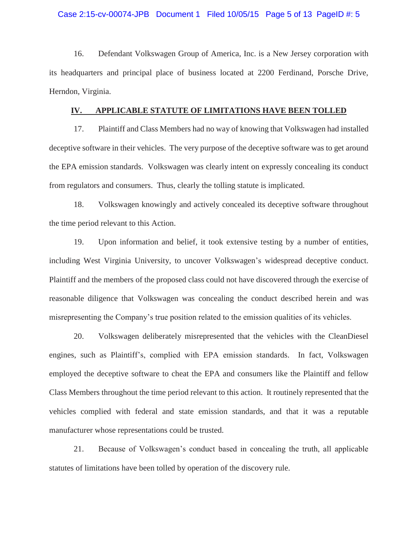### Case 2:15-cv-00074-JPB Document 1 Filed 10/05/15 Page 5 of 13 PageID #: 5

 16. Defendant Volkswagen Group of America, Inc. is a New Jersey corporation with its headquarters and principal place of business located at 2200 Ferdinand, Porsche Drive, Herndon, Virginia.

#### **IV. APPLICABLE STATUTE OF LIMITATIONS HAVE BEEN TOLLED**

 17. Plaintiff and Class Members had no way of knowing that Volkswagen had installed deceptive software in their vehicles. The very purpose of the deceptive software was to get around the EPA emission standards. Volkswagen was clearly intent on expressly concealing its conduct from regulators and consumers. Thus, clearly the tolling statute is implicated.

 18. Volkswagen knowingly and actively concealed its deceptive software throughout the time period relevant to this Action.

 19. Upon information and belief, it took extensive testing by a number of entities, including West Virginia University, to uncover Volkswagen's widespread deceptive conduct. Plaintiff and the members of the proposed class could not have discovered through the exercise of reasonable diligence that Volkswagen was concealing the conduct described herein and was misrepresenting the Company's true position related to the emission qualities of its vehicles.

 20. Volkswagen deliberately misrepresented that the vehicles with the CleanDiesel engines, such as Plaintiff's, complied with EPA emission standards. In fact, Volkswagen employed the deceptive software to cheat the EPA and consumers like the Plaintiff and fellow Class Members throughout the time period relevant to this action. It routinely represented that the vehicles complied with federal and state emission standards, and that it was a reputable manufacturer whose representations could be trusted.

 21. Because of Volkswagen's conduct based in concealing the truth, all applicable statutes of limitations have been tolled by operation of the discovery rule.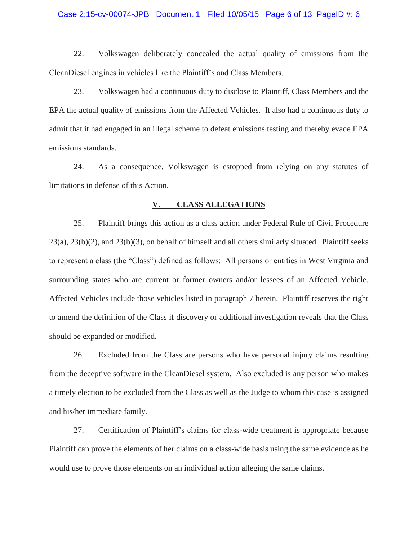### Case 2:15-cv-00074-JPB Document 1 Filed 10/05/15 Page 6 of 13 PageID #: 6

22. Volkswagen deliberately concealed the actual quality of emissions from the CleanDiesel engines in vehicles like the Plaintiff's and Class Members.

23. Volkswagen had a continuous duty to disclose to Plaintiff, Class Members and the EPA the actual quality of emissions from the Affected Vehicles. It also had a continuous duty to admit that it had engaged in an illegal scheme to defeat emissions testing and thereby evade EPA emissions standards.

24. As a consequence, Volkswagen is estopped from relying on any statutes of limitations in defense of this Action.

## **V. CLASS ALLEGATIONS**

25. Plaintiff brings this action as a class action under Federal Rule of Civil Procedure 23(a), 23(b)(2), and 23(b)(3), on behalf of himself and all others similarly situated. Plaintiff seeks to represent a class (the "Class") defined as follows: All persons or entities in West Virginia and surrounding states who are current or former owners and/or lessees of an Affected Vehicle. Affected Vehicles include those vehicles listed in paragraph 7 herein. Plaintiff reserves the right to amend the definition of the Class if discovery or additional investigation reveals that the Class should be expanded or modified.

26. Excluded from the Class are persons who have personal injury claims resulting from the deceptive software in the CleanDiesel system. Also excluded is any person who makes a timely election to be excluded from the Class as well as the Judge to whom this case is assigned and his/her immediate family.

27. Certification of Plaintiff's claims for class-wide treatment is appropriate because Plaintiff can prove the elements of her claims on a class-wide basis using the same evidence as he would use to prove those elements on an individual action alleging the same claims.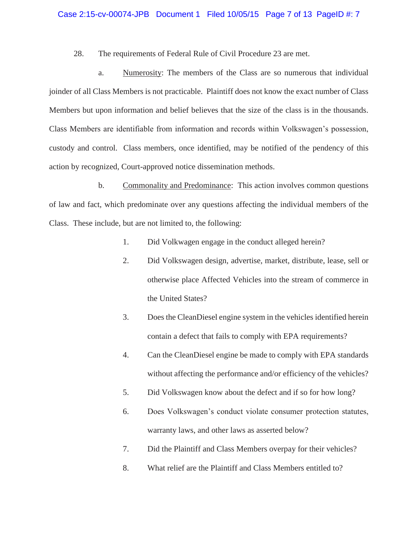### Case 2:15-cv-00074-JPB Document 1 Filed 10/05/15 Page 7 of 13 PageID #: 7

28. The requirements of Federal Rule of Civil Procedure 23 are met.

 a. Numerosity: The members of the Class are so numerous that individual joinder of all Class Members is not practicable. Plaintiff does not know the exact number of Class Members but upon information and belief believes that the size of the class is in the thousands. Class Members are identifiable from information and records within Volkswagen's possession, custody and control. Class members, once identified, may be notified of the pendency of this action by recognized, Court-approved notice dissemination methods.

 b. Commonality and Predominance: This action involves common questions of law and fact, which predominate over any questions affecting the individual members of the Class. These include, but are not limited to, the following:

- 1. Did Volkwagen engage in the conduct alleged herein?
- 2. Did Volkswagen design, advertise, market, distribute, lease, sell or otherwise place Affected Vehicles into the stream of commerce in the United States?
- 3. Does the CleanDiesel engine system in the vehicles identified herein contain a defect that fails to comply with EPA requirements?
- 4. Can the CleanDiesel engine be made to comply with EPA standards without affecting the performance and/or efficiency of the vehicles?
- 5. Did Volkswagen know about the defect and if so for how long?
- 6. Does Volkswagen's conduct violate consumer protection statutes, warranty laws, and other laws as asserted below?
- 7. Did the Plaintiff and Class Members overpay for their vehicles?
- 8. What relief are the Plaintiff and Class Members entitled to?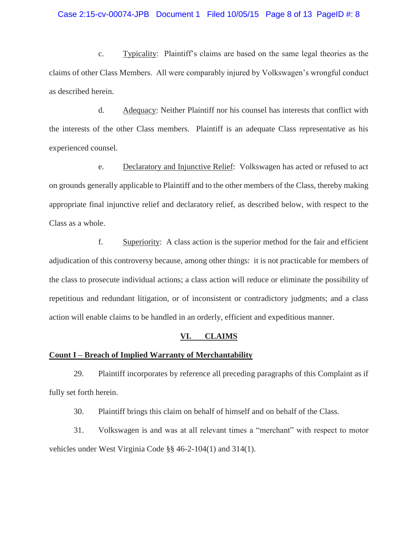### Case 2:15-cv-00074-JPB Document 1 Filed 10/05/15 Page 8 of 13 PageID #: 8

 c. Typicality: Plaintiff's claims are based on the same legal theories as the claims of other Class Members. All were comparably injured by Volkswagen's wrongful conduct as described herein.

 d. Adequacy: Neither Plaintiff nor his counsel has interests that conflict with the interests of the other Class members. Plaintiff is an adequate Class representative as his experienced counsel.

 e. Declaratory and Injunctive Relief: Volkswagen has acted or refused to act on grounds generally applicable to Plaintiff and to the other members of the Class, thereby making appropriate final injunctive relief and declaratory relief, as described below, with respect to the Class as a whole.

 f. Superiority: A class action is the superior method for the fair and efficient adjudication of this controversy because, among other things: it is not practicable for members of the class to prosecute individual actions; a class action will reduce or eliminate the possibility of repetitious and redundant litigation, or of inconsistent or contradictory judgments; and a class action will enable claims to be handled in an orderly, efficient and expeditious manner.

#### **VI. CLAIMS**

#### **Count I – Breach of Implied Warranty of Merchantability**

 29. Plaintiff incorporates by reference all preceding paragraphs of this Complaint as if fully set forth herein.

30. Plaintiff brings this claim on behalf of himself and on behalf of the Class.

 31. Volkswagen is and was at all relevant times a "merchant" with respect to motor vehicles under West Virginia Code §§ 46-2-104(1) and 314(1).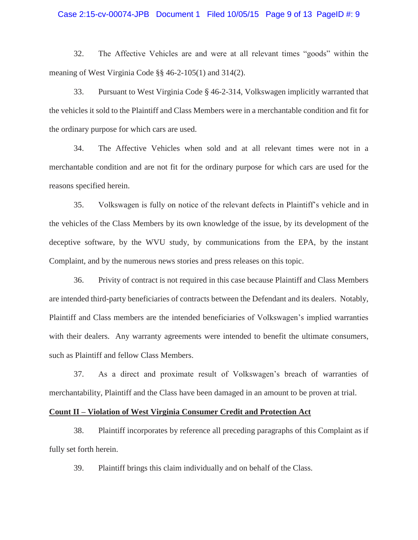### Case 2:15-cv-00074-JPB Document 1 Filed 10/05/15 Page 9 of 13 PageID #: 9

32. The Affective Vehicles are and were at all relevant times "goods" within the meaning of West Virginia Code §§ 46-2-105(1) and 314(2).

33. Pursuant to West Virginia Code  $\S 46$ -2-314, Volkswagen implicitly warranted that the vehicles it sold to the Plaintiff and Class Members were in a merchantable condition and fit for the ordinary purpose for which cars are used.

34. The Affective Vehicles when sold and at all relevant times were not in a merchantable condition and are not fit for the ordinary purpose for which cars are used for the reasons specified herein.

35. Volkswagen is fully on notice of the relevant defects in Plaintiff's vehicle and in the vehicles of the Class Members by its own knowledge of the issue, by its development of the deceptive software, by the WVU study, by communications from the EPA, by the instant Complaint, and by the numerous news stories and press releases on this topic.

36. Privity of contract is not required in this case because Plaintiff and Class Members are intended third-party beneficiaries of contracts between the Defendant and its dealers. Notably, Plaintiff and Class members are the intended beneficiaries of Volkswagen's implied warranties with their dealers. Any warranty agreements were intended to benefit the ultimate consumers, such as Plaintiff and fellow Class Members.

37. As a direct and proximate result of Volkswagen's breach of warranties of merchantability, Plaintiff and the Class have been damaged in an amount to be proven at trial.

## **Count II – Violation of West Virginia Consumer Credit and Protection Act**

38. Plaintiff incorporates by reference all preceding paragraphs of this Complaint as if fully set forth herein.

39. Plaintiff brings this claim individually and on behalf of the Class.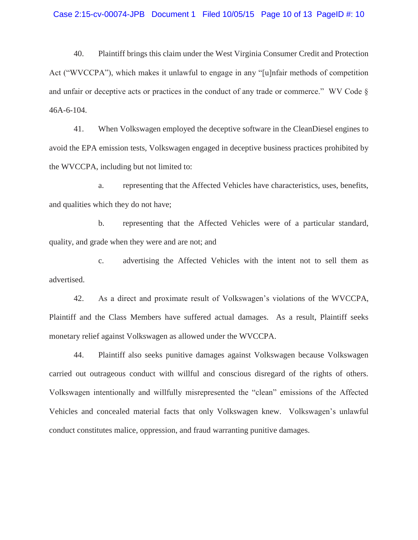### Case 2:15-cv-00074-JPB Document 1 Filed 10/05/15 Page 10 of 13 PageID #: 10

40. Plaintiff brings this claim under the West Virginia Consumer Credit and Protection Act ("WVCCPA"), which makes it unlawful to engage in any "[u]nfair methods of competition and unfair or deceptive acts or practices in the conduct of any trade or commerce." WV Code § 46A-6-104.

41. When Volkswagen employed the deceptive software in the CleanDiesel engines to avoid the EPA emission tests, Volkswagen engaged in deceptive business practices prohibited by the WVCCPA, including but not limited to:

a. representing that the Affected Vehicles have characteristics, uses, benefits, and qualities which they do not have;

b. representing that the Affected Vehicles were of a particular standard, quality, and grade when they were and are not; and

c. advertising the Affected Vehicles with the intent not to sell them as advertised.

42. As a direct and proximate result of Volkswagen's violations of the WVCCPA, Plaintiff and the Class Members have suffered actual damages. As a result, Plaintiff seeks monetary relief against Volkswagen as allowed under the WVCCPA.

44. Plaintiff also seeks punitive damages against Volkswagen because Volkswagen carried out outrageous conduct with willful and conscious disregard of the rights of others. Volkswagen intentionally and willfully misrepresented the "clean" emissions of the Affected Vehicles and concealed material facts that only Volkswagen knew. Volkswagen's unlawful conduct constitutes malice, oppression, and fraud warranting punitive damages.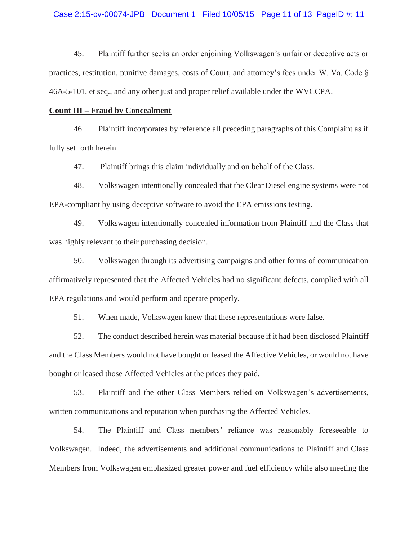### Case 2:15-cv-00074-JPB Document 1 Filed 10/05/15 Page 11 of 13 PageID #: 11

45. Plaintiff further seeks an order enjoining Volkswagen's unfair or deceptive acts or practices, restitution, punitive damages, costs of Court, and attorney's fees under W. Va. Code § 46A-5-101, et seq., and any other just and proper relief available under the WVCCPA.

## **Count III – Fraud by Concealment**

46. Plaintiff incorporates by reference all preceding paragraphs of this Complaint as if fully set forth herein.

47. Plaintiff brings this claim individually and on behalf of the Class.

48. Volkswagen intentionally concealed that the CleanDiesel engine systems were not EPA-compliant by using deceptive software to avoid the EPA emissions testing.

49. Volkswagen intentionally concealed information from Plaintiff and the Class that was highly relevant to their purchasing decision.

50. Volkswagen through its advertising campaigns and other forms of communication affirmatively represented that the Affected Vehicles had no significant defects, complied with all EPA regulations and would perform and operate properly.

51. When made, Volkswagen knew that these representations were false.

52. The conduct described herein was material because if it had been disclosed Plaintiff and the Class Members would not have bought or leased the Affective Vehicles, or would not have bought or leased those Affected Vehicles at the prices they paid.

53. Plaintiff and the other Class Members relied on Volkswagen's advertisements, written communications and reputation when purchasing the Affected Vehicles.

54. The Plaintiff and Class members' reliance was reasonably foreseeable to Volkswagen. Indeed, the advertisements and additional communications to Plaintiff and Class Members from Volkswagen emphasized greater power and fuel efficiency while also meeting the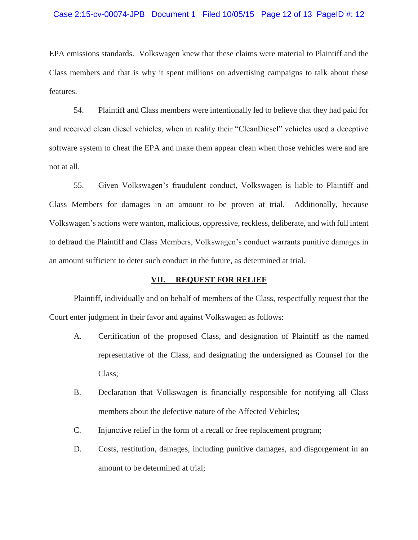### Case 2:15-cv-00074-JPB Document 1 Filed 10/05/15 Page 12 of 13 PageID #: 12

EPA emissions standards. Volkswagen knew that these claims were material to Plaintiff and the Class members and that is why it spent millions on advertising campaigns to talk about these features.

 54. Plaintiff and Class members were intentionally led to believe that they had paid for and received clean diesel vehicles, when in reality their "CleanDiesel" vehicles used a deceptive software system to cheat the EPA and make them appear clean when those vehicles were and are not at all.

 55. Given Volkswagen's fraudulent conduct, Volkswagen is liable to Plaintiff and Class Members for damages in an amount to be proven at trial. Additionally, because Volkswagen's actions were wanton, malicious, oppressive, reckless, deliberate, and with full intent to defraud the Plaintiff and Class Members, Volkswagen's conduct warrants punitive damages in an amount sufficient to deter such conduct in the future, as determined at trial.

## **VII. REQUEST FOR RELIEF**

 Plaintiff, individually and on behalf of members of the Class, respectfully request that the Court enter judgment in their favor and against Volkswagen as follows:

- A. Certification of the proposed Class, and designation of Plaintiff as the named representative of the Class, and designating the undersigned as Counsel for the Class;
- B. Declaration that Volkswagen is financially responsible for notifying all Class members about the defective nature of the Affected Vehicles;
- C. Injunctive relief in the form of a recall or free replacement program;
- D. Costs, restitution, damages, including punitive damages, and disgorgement in an amount to be determined at trial;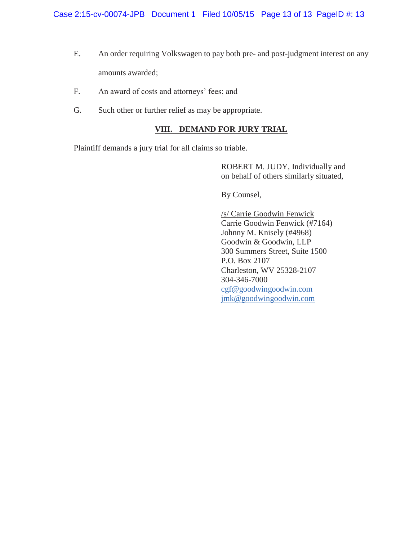- E. An order requiring Volkswagen to pay both pre- and post-judgment interest on any amounts awarded;
- F. An award of costs and attorneys' fees; and
- G. Such other or further relief as may be appropriate.

# **VIII. DEMAND FOR JURY TRIAL**

Plaintiff demands a jury trial for all claims so triable.

ROBERT M. JUDY, Individually and on behalf of others similarly situated,

By Counsel,

/s/ Carrie Goodwin Fenwick Carrie Goodwin Fenwick (#7164) Johnny M. Knisely (#4968) Goodwin & Goodwin, LLP 300 Summers Street, Suite 1500 P.O. Box 2107 Charleston, WV 25328-2107 304-346-7000 cgf@goodwingoodwin.com jmk@goodwingoodwin.com